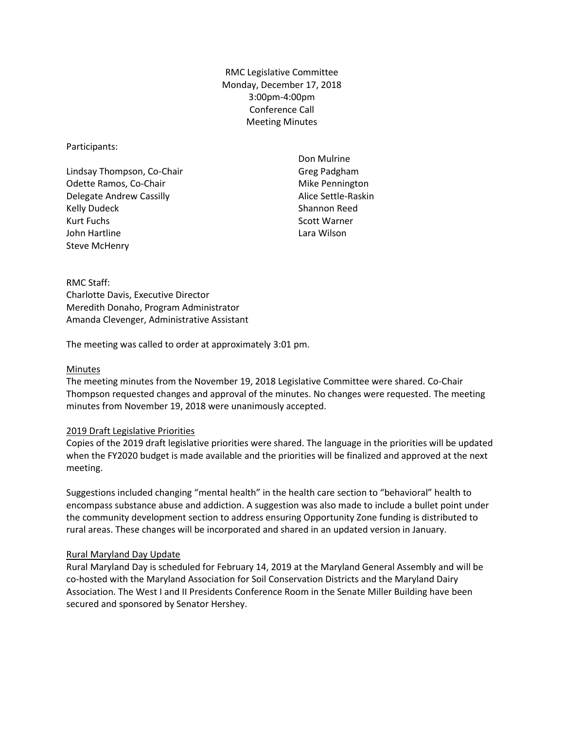RMC Legislative Committee Monday, December 17, 2018 3:00pm-4:00pm Conference Call Meeting Minutes

Participants:

Lindsay Thompson, Co-Chair Odette Ramos, Co-Chair Delegate Andrew Cassilly Kelly Dudeck Kurt Fuchs John Hartline Steve McHenry

Don Mulrine Greg Padgham Mike Pennington Alice Settle-Raskin Shannon Reed Scott Warner Lara Wilson

RMC Staff: Charlotte Davis, Executive Director Meredith Donaho, Program Administrator Amanda Clevenger, Administrative Assistant

The meeting was called to order at approximately 3:01 pm.

### Minutes

The meeting minutes from the November 19, 2018 Legislative Committee were shared. Co-Chair Thompson requested changes and approval of the minutes. No changes were requested. The meeting minutes from November 19, 2018 were unanimously accepted.

# 2019 Draft Legislative Priorities

Copies of the 2019 draft legislative priorities were shared. The language in the priorities will be updated when the FY2020 budget is made available and the priorities will be finalized and approved at the next meeting.

Suggestions included changing "mental health" in the health care section to "behavioral" health to encompass substance abuse and addiction. A suggestion was also made to include a bullet point under the community development section to address ensuring Opportunity Zone funding is distributed to rural areas. These changes will be incorporated and shared in an updated version in January.

# Rural Maryland Day Update

Rural Maryland Day is scheduled for February 14, 2019 at the Maryland General Assembly and will be co-hosted with the Maryland Association for Soil Conservation Districts and the Maryland Dairy Association. The West I and II Presidents Conference Room in the Senate Miller Building have been secured and sponsored by Senator Hershey.